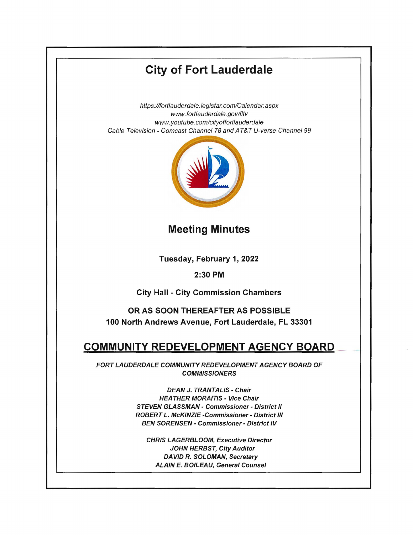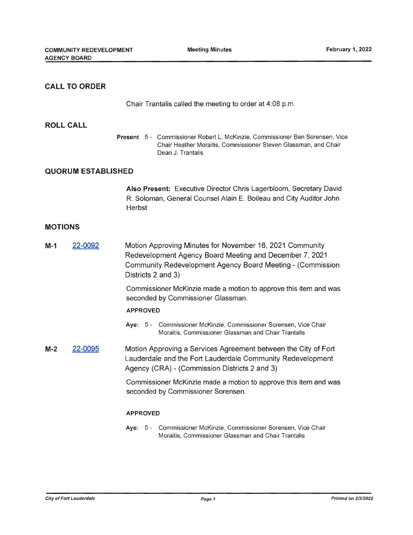## **CALL TO ORDER**

Chair Trantalis called the meeting to order at 4:08 p.m.

#### **ROLL CALL**

**Present** 5 - Commissioner Robert L. McKinzie, Commissioner Ben Sorensen, Vice Chair Heather Moraitis, Commissioner Steven Glassman, and Chair Dean J. Trantalis

# **QUORUM ESTABLISHED**

**Also Present:** Executive Director Chris Lagerbloom, Secretary David R. Soloman, General Counsel Alain E. Boileau and City Auditor John **Herbst** 

### **MOTIONS**

**M-1** 22-0092 Motion Approving Minutes for November 16, 2021 Community Redevelopment Agency Board Meeting and December 7, 2021 Community Redevelopment Agency Board Meeting - (Commission Districts 2 and 3)

> Commissioner McKinzie made a motion to approve this item and was seconded by Commissioner Glassman.

#### **APPROVED**

**Aye:** 5 - Commissioner McKinzie, Commissioner Sorensen, Vice Chair Moraitis, Commissioner Glassman and Chair Trantalis

**M-2** 22-0095 Motion Approving a Services Agreement between the City of Fort Lauderdale and the Fort Lauderdale Community Redevelopment Agency (CRA) - (Commission Districts 2 and 3)

> Commissioner McKinzie made a motion to approve this item and was seconded by Commissioner Sorensen.

#### **APPROVED**

**Aye:** 5 - Commissioner McKinzie, Commissioner Sorensen, Vice Chair Moraitis, Commissioner Glassman and Chair Trantalis